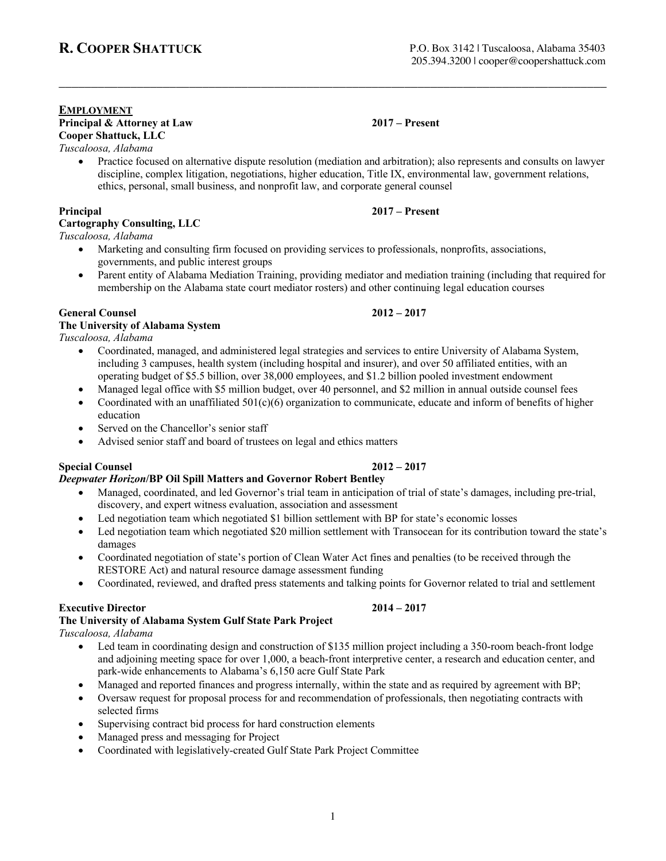#### **EMPLOYMENT Principal & Attorney at Law 2017 – Present Cooper Shattuck, LLC**

*Tuscaloosa, Alabama*

• Practice focused on alternative dispute resolution (mediation and arbitration); also represents and consults on lawyer discipline, complex litigation, negotiations, higher education, Title IX, environmental law, government relations, ethics, personal, small business, and nonprofit law, and corporate general counsel

\_\_\_\_\_\_\_\_\_\_\_\_\_\_\_\_\_\_\_\_\_\_\_\_\_\_\_\_\_\_\_\_\_\_\_\_\_\_\_\_\_\_\_\_\_\_\_\_\_\_\_\_\_\_\_\_\_\_\_\_\_\_\_\_\_\_\_\_\_\_\_\_\_\_\_\_\_\_\_\_\_\_\_\_

### **Principal 2017 – Present**

### **Cartography Consulting, LLC**

*Tuscaloosa, Alabama*

- Marketing and consulting firm focused on providing services to professionals, nonprofits, associations, governments, and public interest groups
- Parent entity of Alabama Mediation Training, providing mediator and mediation training (including that required for membership on the Alabama state court mediator rosters) and other continuing legal education courses

#### **General Counsel 2012 – 2017**

#### **The University of Alabama System**

*Tuscaloosa, Alabama*

- Coordinated, managed, and administered legal strategies and services to entire University of Alabama System, including 3 campuses, health system (including hospital and insurer), and over 50 affiliated entities, with an operating budget of \$5.5 billion, over 38,000 employees, and \$1.2 billion pooled investment endowment
	- Managed legal office with \$5 million budget, over 40 personnel, and \$2 million in annual outside counsel fees
- Coordinated with an unaffiliated  $501(c)(6)$  organization to communicate, educate and inform of benefits of higher education
- Served on the Chancellor's senior staff
- Advised senior staff and board of trustees on legal and ethics matters

## **Special Counsel 2012 – 2017**

## *Deepwater Horizon***/BP Oil Spill Matters and Governor Robert Bentley**

- Managed, coordinated, and led Governor's trial team in anticipation of trial of state's damages, including pre-trial, discovery, and expert witness evaluation, association and assessment
- Led negotiation team which negotiated \$1 billion settlement with BP for state's economic losses
- Led negotiation team which negotiated \$20 million settlement with Transocean for its contribution toward the state's damages
- Coordinated negotiation of state's portion of Clean Water Act fines and penalties (to be received through the RESTORE Act) and natural resource damage assessment funding
- Coordinated, reviewed, and drafted press statements and talking points for Governor related to trial and settlement

### **Executive Director 2014 – 2017**

## **The University of Alabama System Gulf State Park Project**

*Tuscaloosa, Alabama*

- Led team in coordinating design and construction of \$135 million project including a 350-room beach-front lodge and adjoining meeting space for over 1,000, a beach-front interpretive center, a research and education center, and park-wide enhancements to Alabama's 6,150 acre Gulf State Park
- Managed and reported finances and progress internally, within the state and as required by agreement with BP;
- Oversaw request for proposal process for and recommendation of professionals, then negotiating contracts with selected firms

1

- Supervising contract bid process for hard construction elements
- Managed press and messaging for Project
- Coordinated with legislatively-created Gulf State Park Project Committee

P.O. Box 3142 | Tuscaloosa, Alabama 35403 205.394.3200 | cooper@coopershattuck.com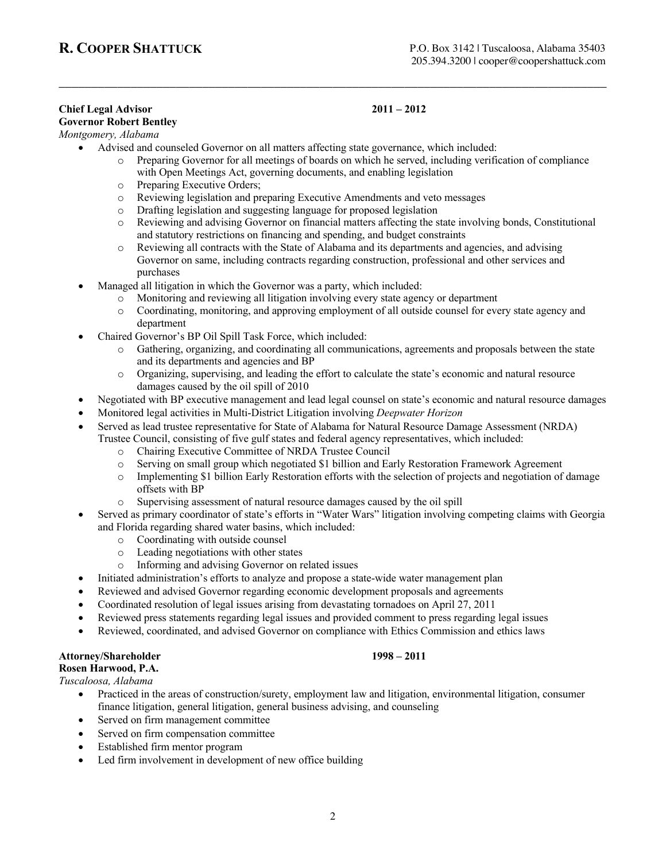## **Chief Legal Advisor 2011 – 2012**

## **Governor Robert Bentley**

## *Montgomery, Alabama*

- Advised and counseled Governor on all matters affecting state governance, which included:
	- o Preparing Governor for all meetings of boards on which he served, including verification of compliance with Open Meetings Act, governing documents, and enabling legislation

\_\_\_\_\_\_\_\_\_\_\_\_\_\_\_\_\_\_\_\_\_\_\_\_\_\_\_\_\_\_\_\_\_\_\_\_\_\_\_\_\_\_\_\_\_\_\_\_\_\_\_\_\_\_\_\_\_\_\_\_\_\_\_\_\_\_\_\_\_\_\_\_\_\_\_\_\_\_\_\_\_\_\_\_

- o Preparing Executive Orders;
- o Reviewing legislation and preparing Executive Amendments and veto messages
- o Drafting legislation and suggesting language for proposed legislation
- o Reviewing and advising Governor on financial matters affecting the state involving bonds, Constitutional and statutory restrictions on financing and spending, and budget constraints
- o Reviewing all contracts with the State of Alabama and its departments and agencies, and advising Governor on same, including contracts regarding construction, professional and other services and purchases
- Managed all litigation in which the Governor was a party, which included:
	- o Monitoring and reviewing all litigation involving every state agency or department
		- o Coordinating, monitoring, and approving employment of all outside counsel for every state agency and department
- Chaired Governor's BP Oil Spill Task Force, which included:
	- o Gathering, organizing, and coordinating all communications, agreements and proposals between the state and its departments and agencies and BP
	- o Organizing, supervising, and leading the effort to calculate the state's economic and natural resource damages caused by the oil spill of 2010
- Negotiated with BP executive management and lead legal counsel on state's economic and natural resource damages
- Monitored legal activities in Multi-District Litigation involving *Deepwater Horizon*
- Served as lead trustee representative for State of Alabama for Natural Resource Damage Assessment (NRDA)
- Trustee Council, consisting of five gulf states and federal agency representatives, which included:
	- o Chairing Executive Committee of NRDA Trustee Council<br>
	o Serving on small group which negotiated \$1 billion and Fa
	- Serving on small group which negotiated \$1 billion and Early Restoration Framework Agreement
	- o Implementing \$1 billion Early Restoration efforts with the selection of projects and negotiation of damage offsets with BP
	- o Supervising assessment of natural resource damages caused by the oil spill
- Served as primary coordinator of state's efforts in "Water Wars" litigation involving competing claims with Georgia and Florida regarding shared water basins, which included:
	- o Coordinating with outside counsel
	- o Leading negotiations with other states
	- o Informing and advising Governor on related issues
- Initiated administration's efforts to analyze and propose a state-wide water management plan
- Reviewed and advised Governor regarding economic development proposals and agreements
- Coordinated resolution of legal issues arising from devastating tornadoes on April 27, 2011
- Reviewed press statements regarding legal issues and provided comment to press regarding legal issues
- Reviewed, coordinated, and advised Governor on compliance with Ethics Commission and ethics laws

### **Attorney/Shareholder 1998 – 2011**

#### **Rosen Harwood, P.A.**

*Tuscaloosa, Alabama*

- Practiced in the areas of construction/surety, employment law and litigation, environmental litigation, consumer finance litigation, general litigation, general business advising, and counseling
- Served on firm management committee
- Served on firm compensation committee
- Established firm mentor program
- Led firm involvement in development of new office building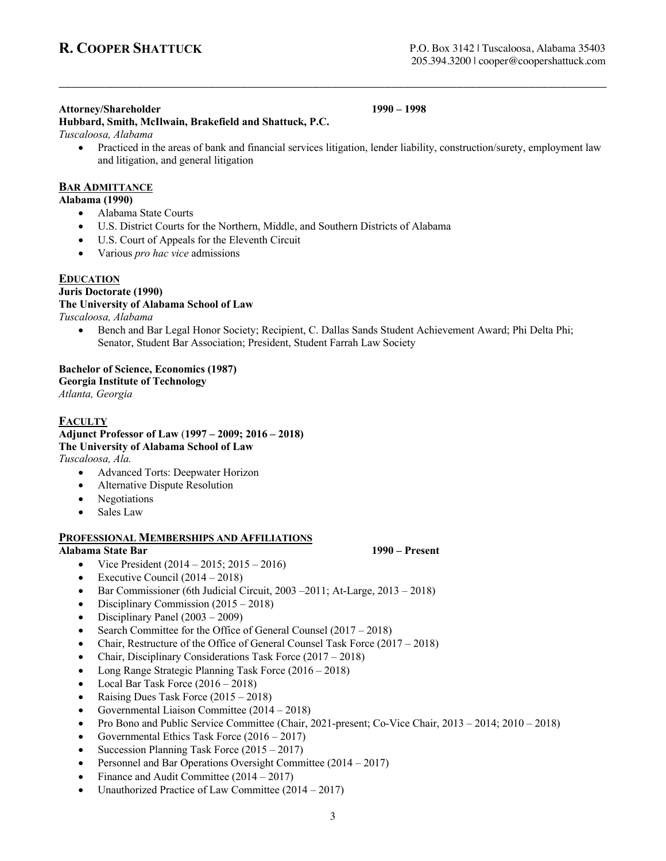#### **Attorney/Shareholder 1990 – 1998**

**Hubbard, Smith, McIlwain, Brakefield and Shattuck, P.C.** *Tuscaloosa, Alabama*

• Practiced in the areas of bank and financial services litigation, lender liability, construction/surety, employment law and litigation, and general litigation

\_\_\_\_\_\_\_\_\_\_\_\_\_\_\_\_\_\_\_\_\_\_\_\_\_\_\_\_\_\_\_\_\_\_\_\_\_\_\_\_\_\_\_\_\_\_\_\_\_\_\_\_\_\_\_\_\_\_\_\_\_\_\_\_\_\_\_\_\_\_\_\_\_\_\_\_\_\_\_\_\_\_\_\_

#### **BAR ADMITTANCE**

**Alabama (1990)**

- Alabama State Courts
- U.S. District Courts for the Northern, Middle, and Southern Districts of Alabama
- U.S. Court of Appeals for the Eleventh Circuit
- Various *pro hac vice* admissions

#### **EDUCATION**

### **Juris Doctorate (1990)**

### **The University of Alabama School of Law**

*Tuscaloosa, Alabama*

• Bench and Bar Legal Honor Society; Recipient, C. Dallas Sands Student Achievement Award; Phi Delta Phi; Senator, Student Bar Association; President, Student Farrah Law Society

## **Bachelor of Science, Economics (1987) Georgia Institute of Technology**

*Atlanta, Georgia*

**FACULTY Adjunct Professor of Law** (**1997 – 2009; 2016 – 2018) The University of Alabama School of Law**

*Tuscaloosa, Ala.* 

- Advanced Torts: Deepwater Horizon
- Alternative Dispute Resolution
- Negotiations
- Sales Law

#### **PROFESSIONAL MEMBERSHIPS AND AFFILIATIONS**

#### **Alabama State Bar 1990 – Present**

- Vice President  $(2014 2015; 2015 2016)$
- Executive Council  $(2014 2018)$
- Bar Commissioner (6th Judicial Circuit, 2003 –2011; At-Large, 2013 2018)
- Disciplinary Commission (2015 2018)
- Disciplinary Panel (2003 2009)
- Search Committee for the Office of General Counsel (2017 2018)
- Chair, Restructure of the Office of General Counsel Task Force (2017 2018)
- Chair, Disciplinary Considerations Task Force (2017 2018)
- Long Range Strategic Planning Task Force (2016 2018)
- Local Bar Task Force  $(2016 2018)$
- Raising Dues Task Force (2015 2018)
- Governmental Liaison Committee (2014 2018)
- Pro Bono and Public Service Committee (Chair, 2021-present; Co-Vice Chair, 2013 2014; 2010 2018)
- Governmental Ethics Task Force (2016 2017)
- Succession Planning Task Force (2015 2017)
- Personnel and Bar Operations Oversight Committee (2014 2017)
- Finance and Audit Committee (2014 2017)
- Unauthorized Practice of Law Committee (2014 2017)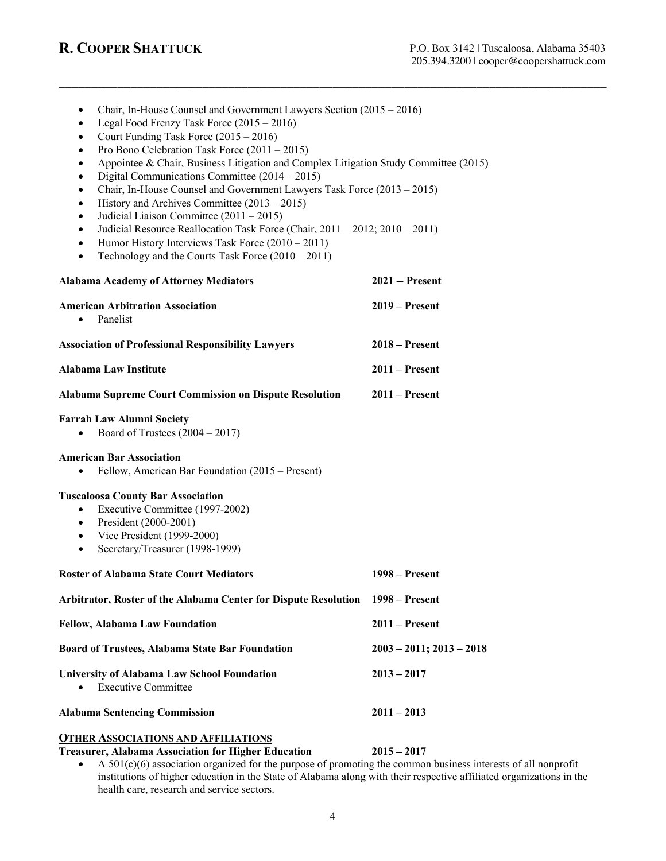| Court Funding Task Force $(2015 - 2016)$<br>$\bullet$<br>Pro Bono Celebration Task Force $(2011 - 2015)$<br>Appointee & Chair, Business Litigation and Complex Litigation Study Committee (2015)<br>Digital Communications Committee $(2014 – 2015)$<br>$\bullet$<br>Chair, In-House Counsel and Government Lawyers Task Force (2013 – 2015)<br>$\bullet$<br>History and Archives Committee $(2013 – 2015)$<br>$\bullet$<br>Judicial Liaison Committee $(2011 – 2015)$<br>$\bullet$<br>Judicial Resource Reallocation Task Force (Chair, $2011 - 2012$ ; $2010 - 2011$ )<br>$\bullet$<br>Humor History Interviews Task Force $(2010 – 2011)$<br>$\bullet$<br>Technology and the Courts Task Force $(2010 – 2011)$<br>$\bullet$ |                               |
|--------------------------------------------------------------------------------------------------------------------------------------------------------------------------------------------------------------------------------------------------------------------------------------------------------------------------------------------------------------------------------------------------------------------------------------------------------------------------------------------------------------------------------------------------------------------------------------------------------------------------------------------------------------------------------------------------------------------------------|-------------------------------|
| <b>Alabama Academy of Attorney Mediators</b>                                                                                                                                                                                                                                                                                                                                                                                                                                                                                                                                                                                                                                                                                   | 2021 -- Present               |
| <b>American Arbitration Association</b><br>Panelist<br>$\bullet$                                                                                                                                                                                                                                                                                                                                                                                                                                                                                                                                                                                                                                                               | $2019 -$ Present              |
| <b>Association of Professional Responsibility Lawyers</b>                                                                                                                                                                                                                                                                                                                                                                                                                                                                                                                                                                                                                                                                      | $2018 -$ Present              |
| Alabama Law Institute                                                                                                                                                                                                                                                                                                                                                                                                                                                                                                                                                                                                                                                                                                          | $2011 -$ Present              |
| <b>Alabama Supreme Court Commission on Dispute Resolution</b>                                                                                                                                                                                                                                                                                                                                                                                                                                                                                                                                                                                                                                                                  | $2011 -$ Present              |
| <b>Farrah Law Alumni Society</b><br>Board of Trustees $(2004 – 2017)$<br>$\bullet$                                                                                                                                                                                                                                                                                                                                                                                                                                                                                                                                                                                                                                             |                               |
| <b>American Bar Association</b><br>Fellow, American Bar Foundation (2015 – Present)<br>$\bullet$                                                                                                                                                                                                                                                                                                                                                                                                                                                                                                                                                                                                                               |                               |
| <b>Tuscaloosa County Bar Association</b><br>Executive Committee (1997-2002)<br>$\bullet$<br>President (2000-2001)<br>$\bullet$<br>• Vice President (1999-2000)<br>Secretary/Treasurer (1998-1999)<br>$\bullet$                                                                                                                                                                                                                                                                                                                                                                                                                                                                                                                 |                               |
| <b>Roster of Alabama State Court Mediators</b>                                                                                                                                                                                                                                                                                                                                                                                                                                                                                                                                                                                                                                                                                 | $1998 -$ Present              |
| Arbitrator, Roster of the Alabama Center for Dispute Resolution 1998 – Present                                                                                                                                                                                                                                                                                                                                                                                                                                                                                                                                                                                                                                                 |                               |
| <b>Fellow, Alabama Law Foundation</b>                                                                                                                                                                                                                                                                                                                                                                                                                                                                                                                                                                                                                                                                                          | $2011 -$ Present              |
| <b>Board of Trustees, Alabama State Bar Foundation</b>                                                                                                                                                                                                                                                                                                                                                                                                                                                                                                                                                                                                                                                                         | $2003 - 2011$ ; $2013 - 2018$ |
| <b>University of Alabama Law School Foundation</b><br><b>Executive Committee</b>                                                                                                                                                                                                                                                                                                                                                                                                                                                                                                                                                                                                                                               | $2013 - 2017$                 |
| <b>Alabama Sentencing Commission</b>                                                                                                                                                                                                                                                                                                                                                                                                                                                                                                                                                                                                                                                                                           | $2011 - 2013$                 |
| <b>OTHER ASSOCIATIONS AND AFFILIATIONS</b><br><b>Treasurer, Alabama Association for Higher Education</b><br>$\sim \Lambda$ 501(c)(6) association organized for the purpose of promoting the common business inte                                                                                                                                                                                                                                                                                                                                                                                                                                                                                                               | $2015 - 2017$                 |

• Chair, In-House Counsel and Government Lawyers Section (2015 – 2016)

• Legal Food Frenzy Task Force (2015 – 2016)

\_\_\_\_\_\_\_\_\_\_\_\_\_\_\_\_\_\_\_\_\_\_\_\_\_\_\_\_\_\_\_\_\_\_\_\_\_\_\_\_\_\_\_\_\_\_\_\_\_\_\_\_\_\_\_\_\_\_\_\_\_\_\_\_\_\_\_\_\_\_\_\_\_\_\_\_\_\_\_\_\_\_\_\_

• A 501(c)(6) association organized for the purpose of promoting the common business interests of all nonprofit institutions of higher education in the State of Alabama along with their respective affiliated organizations in the health care, research and service sectors.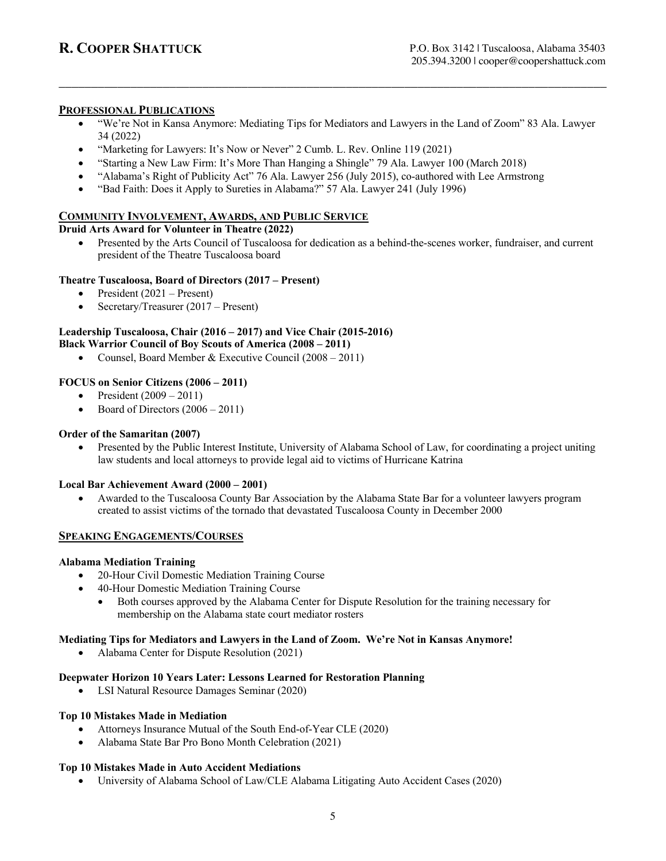#### **PROFESSIONAL PUBLICATIONS**

• "We're Not in Kansa Anymore: Mediating Tips for Mediators and Lawyers in the Land of Zoom" 83 Ala. Lawyer 34 (2022)

\_\_\_\_\_\_\_\_\_\_\_\_\_\_\_\_\_\_\_\_\_\_\_\_\_\_\_\_\_\_\_\_\_\_\_\_\_\_\_\_\_\_\_\_\_\_\_\_\_\_\_\_\_\_\_\_\_\_\_\_\_\_\_\_\_\_\_\_\_\_\_\_\_\_\_\_\_\_\_\_\_\_\_\_

- "Marketing for Lawyers: It's Now or Never" 2 Cumb. L. Rev. Online 119 (2021)
- "Starting a New Law Firm: It's More Than Hanging a Shingle" 79 Ala. Lawyer 100 (March 2018)
- "Alabama's Right of Publicity Act" 76 Ala. Lawyer 256 (July 2015), co-authored with Lee Armstrong
- "Bad Faith: Does it Apply to Sureties in Alabama?" 57 Ala. Lawyer 241 (July 1996)

### **COMMUNITY INVOLVEMENT, AWARDS, AND PUBLIC SERVICE**

#### **Druid Arts Award for Volunteer in Theatre (2022)**

• Presented by the Arts Council of Tuscaloosa for dedication as a behind-the-scenes worker, fundraiser, and current president of the Theatre Tuscaloosa board

#### **Theatre Tuscaloosa, Board of Directors (2017 – Present)**

- President (2021 Present)
- Secretary/Treasurer (2017 Present)

# **Leadership Tuscaloosa, Chair (2016 – 2017) and Vice Chair (2015-2016)**

## **Black Warrior Council of Boy Scouts of America (2008 – 2011)**

• Counsel, Board Member & Executive Council (2008 – 2011)

#### **FOCUS on Senior Citizens (2006 – 2011)**

- President  $(2009 2011)$
- Board of Directors  $(2006 2011)$

#### **Order of the Samaritan (2007)**

• Presented by the Public Interest Institute, University of Alabama School of Law, for coordinating a project uniting law students and local attorneys to provide legal aid to victims of Hurricane Katrina

#### **Local Bar Achievement Award (2000 – 2001)**

• Awarded to the Tuscaloosa County Bar Association by the Alabama State Bar for a volunteer lawyers program created to assist victims of the tornado that devastated Tuscaloosa County in December 2000

#### **SPEAKING ENGAGEMENTS/COURSES**

#### **Alabama Mediation Training**

- 20-Hour Civil Domestic Mediation Training Course
- 40-Hour Domestic Mediation Training Course
	- Both courses approved by the Alabama Center for Dispute Resolution for the training necessary for membership on the Alabama state court mediator rosters

#### **Mediating Tips for Mediators and Lawyers in the Land of Zoom. We're Not in Kansas Anymore!**

• Alabama Center for Dispute Resolution (2021)

#### **Deepwater Horizon 10 Years Later: Lessons Learned for Restoration Planning**

• LSI Natural Resource Damages Seminar (2020)

#### **Top 10 Mistakes Made in Mediation**

- Attorneys Insurance Mutual of the South End-of-Year CLE (2020)
- Alabama State Bar Pro Bono Month Celebration (2021)

#### **Top 10 Mistakes Made in Auto Accident Mediations**

• University of Alabama School of Law/CLE Alabama Litigating Auto Accident Cases (2020)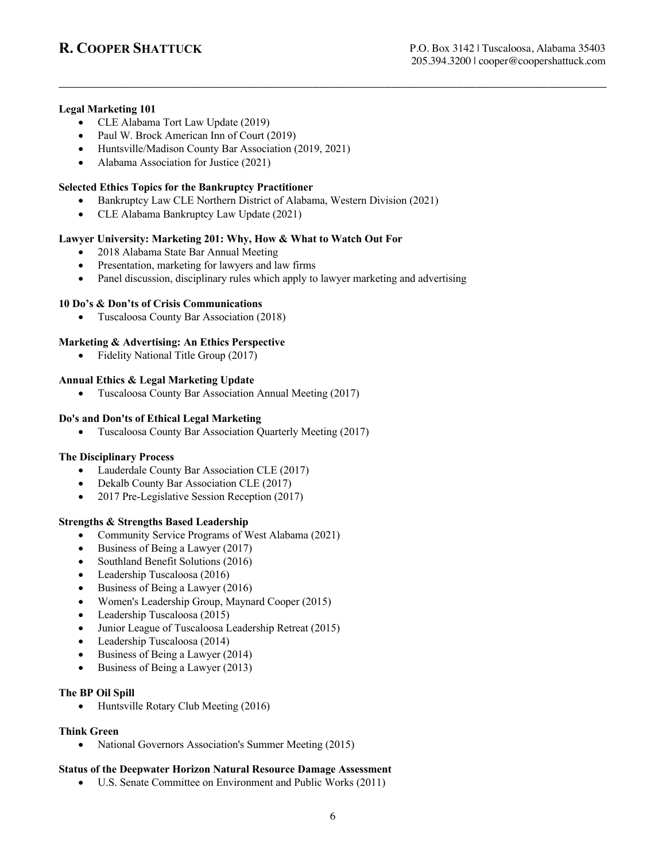#### **Legal Marketing 101**

- CLE Alabama Tort Law Update (2019)
- Paul W. Brock American Inn of Court (2019)
- Huntsville/Madison County Bar Association (2019, 2021)
- Alabama Association for Justice (2021)

### **Selected Ethics Topics for the Bankruptcy Practitioner**

• Bankruptcy Law CLE Northern District of Alabama, Western Division (2021)

\_\_\_\_\_\_\_\_\_\_\_\_\_\_\_\_\_\_\_\_\_\_\_\_\_\_\_\_\_\_\_\_\_\_\_\_\_\_\_\_\_\_\_\_\_\_\_\_\_\_\_\_\_\_\_\_\_\_\_\_\_\_\_\_\_\_\_\_\_\_\_\_\_\_\_\_\_\_\_\_\_\_\_\_

• CLE Alabama Bankruptcy Law Update (2021)

#### **Lawyer University: Marketing 201: Why, How & What to Watch Out For**

- 2018 Alabama State Bar Annual Meeting
- Presentation, marketing for lawyers and law firms
- Panel discussion, disciplinary rules which apply to lawyer marketing and advertising

#### **10 Do's & Don'ts of Crisis Communications**

• Tuscaloosa County Bar Association (2018)

#### **Marketing & Advertising: An Ethics Perspective**

• Fidelity National Title Group (2017)

#### **Annual Ethics & Legal Marketing Update**

• Tuscaloosa County Bar Association Annual Meeting (2017)

#### **Do's and Don'ts of Ethical Legal Marketing**

• Tuscaloosa County Bar Association Quarterly Meeting (2017)

#### **The Disciplinary Process**

- Lauderdale County Bar Association CLE (2017)
- Dekalb County Bar Association CLE (2017)
- 2017 Pre-Legislative Session Reception (2017)

#### **Strengths & Strengths Based Leadership**

- Community Service Programs of West Alabama (2021)
- Business of Being a Lawyer (2017)
- Southland Benefit Solutions (2016)
- Leadership Tuscaloosa (2016)
- Business of Being a Lawyer (2016)
- Women's Leadership Group, Maynard Cooper (2015)
- Leadership Tuscaloosa (2015)
- Junior League of Tuscaloosa Leadership Retreat (2015)
- Leadership Tuscaloosa (2014)
- Business of Being a Lawyer (2014)
- Business of Being a Lawyer (2013)

#### **The BP Oil Spill**

• Huntsville Rotary Club Meeting (2016)

#### **Think Green**

• National Governors Association's Summer Meeting (2015)

#### **Status of the Deepwater Horizon Natural Resource Damage Assessment**

• U.S. Senate Committee on Environment and Public Works (2011)